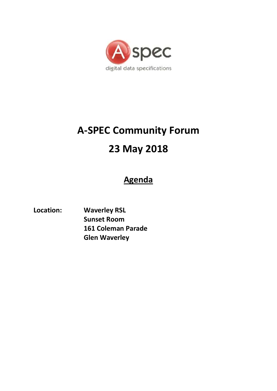

# **A-SPEC Community Forum 23 May 2018**

# **Agenda**

**Location: Waverley RSL Sunset Room 161 Coleman Parade Glen Waverley**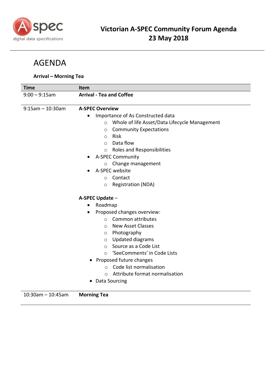

# AGENDA

## **Arrival – Morning Tea**

| <b>Time</b>          | <b>Item</b>                                              |
|----------------------|----------------------------------------------------------|
| $9:00 - 9:15$ am     | <b>Arrival - Tea and Coffee</b>                          |
|                      |                                                          |
| $9:15$ am - 10:30am  | <b>A-SPEC Overview</b>                                   |
|                      | Importance of As Constructed data<br>$\bullet$           |
|                      | Whole of life Asset/Data Lifecycle Management<br>$\circ$ |
|                      | <b>Community Expectations</b><br>$\circ$                 |
|                      | Risk<br>$\circ$                                          |
|                      | Data flow<br>$\circ$                                     |
|                      | Roles and Responsibilities<br>$\circ$                    |
|                      | <b>A-SPEC Community</b>                                  |
|                      | Change management<br>$\circ$                             |
|                      | A-SPEC website                                           |
|                      | Contact<br>$\Omega$                                      |
|                      | <b>Registration (NDA)</b><br>$\circ$                     |
|                      | A-SPEC Update -                                          |
|                      | Roadmap                                                  |
|                      | Proposed changes overview:                               |
|                      | Common attributes<br>$\Omega$                            |
|                      | <b>New Asset Classes</b><br>$\circ$                      |
|                      | Photography<br>$\circ$                                   |
|                      | <b>Updated diagrams</b><br>$\circ$                       |
|                      | Source as a Code List<br>$\circ$                         |
|                      | 'SeeComments' in Code Lists<br>$\circ$                   |
|                      | Proposed future changes                                  |
|                      | Code list normalisation<br>$\circ$                       |
|                      | Attribute format normalisation<br>$\bigcirc$             |
|                      | Data Sourcing                                            |
|                      |                                                          |
| $10:30$ am - 10:45am | <b>Morning Tea</b>                                       |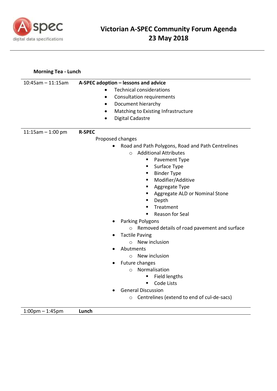

## **Morning Tea - Lunch**

| $10:45$ am - 11:15am | A-SPEC adoption - lessons and advice                    |
|----------------------|---------------------------------------------------------|
|                      | <b>Technical considerations</b>                         |
|                      | <b>Consultation requirements</b><br>٠                   |
|                      | Document hierarchy<br>٠                                 |
|                      | Matching to Existing Infrastructure<br>٠                |
|                      | <b>Digital Cadastre</b><br>٠                            |
|                      |                                                         |
| $11:15am - 1:00 pm$  | <b>R-SPEC</b>                                           |
|                      | Proposed changes                                        |
|                      | Road and Path Polygons, Road and Path Centrelines       |
|                      | <b>Additional Attributes</b><br>$\Omega$                |
|                      | Pavement Type<br>п                                      |
|                      | Surface Type<br>Е                                       |
|                      | <b>Binder Type</b>                                      |
|                      | Modifier/Additive<br>п                                  |
|                      | Aggregate Type                                          |
|                      | Aggregate ALD or Nominal Stone                          |
|                      | Depth                                                   |
|                      | Treatment                                               |
|                      | Reason for Seal                                         |
|                      | Parking Polygons                                        |
|                      | Removed details of road pavement and surface<br>$\circ$ |
|                      | <b>Tactile Paving</b>                                   |
|                      | New inclusion<br>$\Omega$                               |
|                      | Abutments                                               |
|                      | New inclusion<br>$\circ$                                |
|                      | Future changes                                          |
|                      | Normalisation<br>$\circ$                                |
|                      | Field lengths                                           |
|                      | Code Lists                                              |
|                      | <b>General Discussion</b>                               |
|                      | Centrelines (extend to end of cul-de-sacs)<br>$\circ$   |

1:00pm – 1:45pm **Lunch**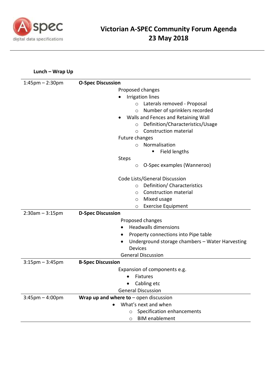

## **Lunch – Wrap Up**

| $1:45$ pm $- 2:30$ pm             | <b>O-Spec Discussion</b>                        |
|-----------------------------------|-------------------------------------------------|
|                                   | Proposed changes                                |
|                                   | <b>Irrigation lines</b>                         |
|                                   | Laterals removed - Proposal<br>$\circ$          |
|                                   | Number of sprinklers recorded<br>$\circ$        |
|                                   | Walls and Fences and Retaining Wall             |
|                                   | Definition/Characteristics/Usage<br>$\circ$     |
|                                   | <b>Construction material</b><br>$\circ$         |
|                                   | Future changes                                  |
|                                   | Normalisation<br>$\bigcirc$                     |
|                                   | Field lengths                                   |
|                                   | <b>Steps</b>                                    |
|                                   | O-Spec examples (Wanneroo)<br>O                 |
|                                   | Code Lists/General Discussion                   |
|                                   | Definition/ Characteristics<br>$\circ$          |
|                                   | Construction material<br>$\circ$                |
|                                   | Mixed usage<br>$\circ$                          |
|                                   | <b>Exercise Equipment</b><br>O                  |
| $2:30am - 3:15pm$                 | <b>D-Spec Discussion</b>                        |
|                                   | Proposed changes                                |
|                                   | <b>Headwalls dimensions</b>                     |
|                                   | Property connections into Pipe table            |
|                                   | Underground storage chambers - Water Harvesting |
|                                   | <b>Devices</b>                                  |
|                                   | <b>General Discussion</b>                       |
| $3:15$ pm $-3:45$ pm              | <b>B-Spec Discussion</b>                        |
|                                   | Expansion of components e.g.                    |
|                                   | <b>Fixtures</b>                                 |
|                                   | Cabling etc                                     |
|                                   | <b>General Discussion</b>                       |
| $3:45 \text{pm} - 4:00 \text{pm}$ | Wrap up and where to $-$ open discussion        |
|                                   | What's next and when                            |
|                                   | Specification enhancements                      |
|                                   | <b>BIM</b> enablement<br>$\circ$                |